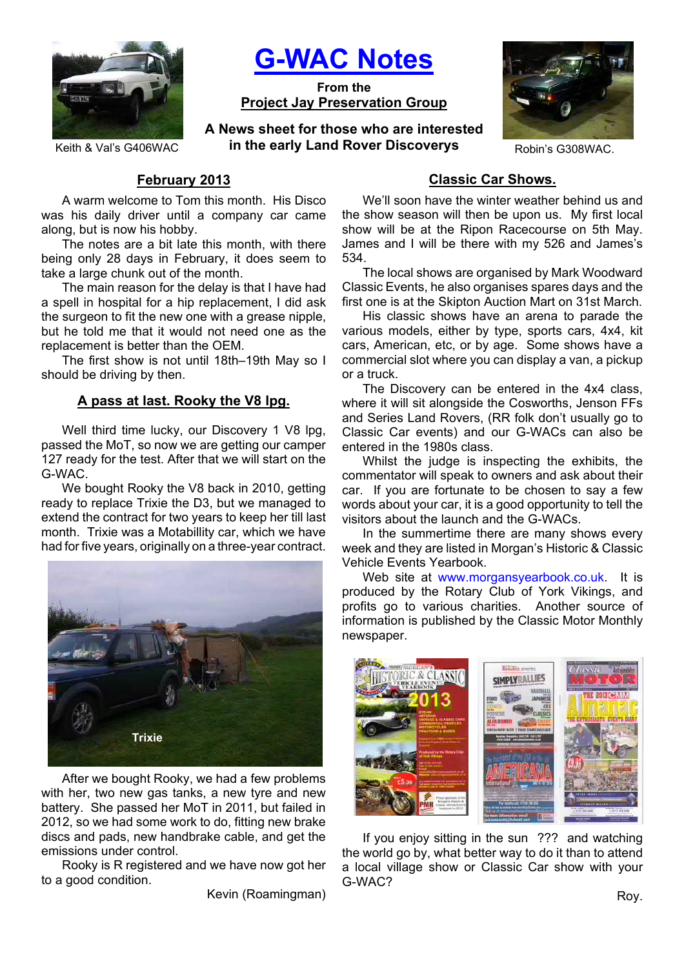

**G-WAC Notes**

**From the Project Jay Preservation Group**

**A News sheet for those who are interested**  Keith & Val's G406WAC **in the early Land Rover Discoverys** Robin's G308WAC.



# **February 2013**

A warm welcome to Tom this month. His Disco was his daily driver until a company car came along, but is now his hobby.

The notes are a bit late this month, with there being only 28 days in February, it does seem to take a large chunk out of the month.

The main reason for the delay is that I have had a spell in hospital for a hip replacement, I did ask the surgeon to fit the new one with a grease nipple, but he told me that it would not need one as the replacement is better than the OEM.

The first show is not until 18th–19th May so I should be driving by then.

# **A pass at last. Rooky the V8 lpg.**

Well third time lucky, our Discovery 1 V8 lpg, passed the MoT, so now we are getting our camper 127 ready for the test. After that we will start on the G-WAC.

We bought Rooky the V8 back in 2010, getting ready to replace Trixie the D3, but we managed to extend the contract for two years to keep her till last month. Trixie was a Motabillity car, which we have had for five years, originally on a three-year contract.



After we bought Rooky, we had a few problems with her, two new gas tanks, a new tyre and new battery. She passed her MoT in 2011, but failed in 2012, so we had some work to do, fitting new brake discs and pads, new handbrake cable, and get the emissions under control.

Rooky is R registered and we have now got her to a good condition.

Kevin (Roamingman)

# **Classic Car Shows.**

We'll soon have the winter weather behind us and the show season will then be upon us. My first local show will be at the Ripon Racecourse on 5th May. James and I will be there with my 526 and James's 534.

The local shows are organised by Mark Woodward Classic Events, he also organises spares days and the first one is at the Skipton Auction Mart on 31st March.

His classic shows have an arena to parade the various models, either by type, sports cars, 4x4, kit cars, American, etc, or by age. Some shows have a commercial slot where you can display a van, a pickup or a truck.

The Discovery can be entered in the 4x4 class, where it will sit alongside the Cosworths, Jenson FFs and Series Land Rovers, (RR folk don't usually go to Classic Car events) and our G-WACs can also be entered in the 1980s class.

Whilst the judge is inspecting the exhibits, the commentator will speak to owners and ask about their car. If you are fortunate to be chosen to say a few words about your car, it is a good opportunity to tell the visitors about the launch and the G-WACs.

In the summertime there are many shows every week and they are listed in Morgan's Historic & Classic Vehicle Events Yearbook.

Web site at www.morgansyearbook.co.uk. It is produced by the Rotary Club of York Vikings, and profits go to various charities. Another source of information is published by the Classic Motor Monthly newspaper.



If you enjoy sitting in the sun ??? and watching the world go by, what better way to do it than to attend a local village show or Classic Car show with your G-WAC?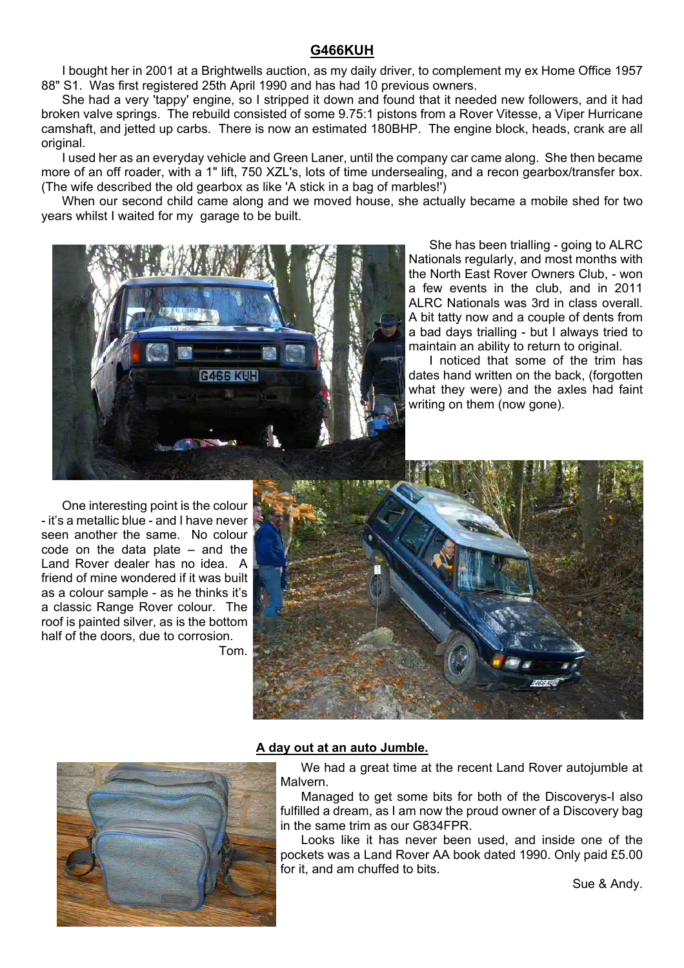# **G466KUH**

I bought her in 2001 at a Brightwells auction, as my daily driver, to complement my ex Home Office 1957 88" S1. Was first registered 25th April 1990 and has had 10 previous owners.

She had a very 'tappy' engine, so I stripped it down and found that it needed new followers, and it had broken valve springs. The rebuild consisted of some 9.75:1 pistons from a Rover Vitesse, a Viper Hurricane camshaft, and jetted up carbs. There is now an estimated 180BHP. The engine block, heads, crank are all original.

I used her as an everyday vehicle and Green Laner, until the company car came along. She then became more of an off roader, with a 1" lift, 750 XZL's, lots of time undersealing, and a recon gearbox/transfer box. (The wife described the old gearbox as like 'A stick in a bag of marbles!')

When our second child came along and we moved house, she actually became a mobile shed for two years whilst I waited for my garage to be built.



She has been trialling - going to ALRC Nationals regularly, and most months with the North East Rover Owners Club, - won a few events in the club, and in 2011 ALRC Nationals was 3rd in class overall. A bit tatty now and a couple of dents from a bad days trialling - but I always tried to maintain an ability to return to original.

I noticed that some of the trim has dates hand written on the back, (forgotten what they were) and the axles had faint writing on them (now gone).

One interesting point is the colour - it's a metallic blue - and I have never seen another the same. No colour code on the data plate – and the Land Rover dealer has no idea. A friend of mine wondered if it was built as a colour sample - as he thinks it's a classic Range Rover colour. The roof is painted silver, as is the bottom half of the doors, due to corrosion. Tom.





#### **A day out at an auto Jumble.**

We had a great time at the recent Land Rover autojumble at Malvern.

Managed to get some bits for both of the Discoverys-I also fulfilled a dream, as I am now the proud owner of a Discovery bag in the same trim as our G834FPR.

Looks like it has never been used, and inside one of the pockets was a Land Rover AA book dated 1990. Only paid £5.00 for it, and am chuffed to bits.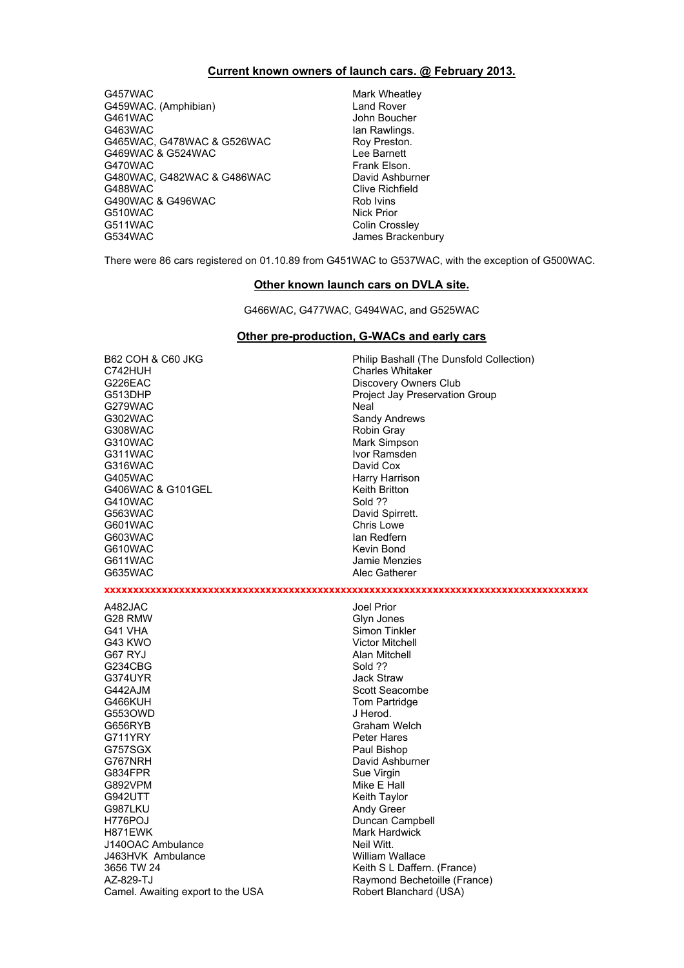#### **Current known owners of launch cars. @ February 2013.**

G457WAC Mark Wheatley G459WAC. (Amphibian) Land Rover G463WAC Ian Rawlings. G465WAC, G478WAC & G526WAC Roy Preston. G469WAC & G524WAC Lee Barnett G470WAC Frank Elson. G480WAC, G482WAC & G486WAC David Ashburner G488WAC COME CONSERVACE CONSERVACT CONSERVACE CONSERVACE CONSERVACE CONSERVACE CONSERVACE CONSERVACE CONSERVAC<br>CONSERVACE CONSERVACE CONSERVACE CONSERVACIÓN DE ROLL DE ROLL DE CONSERVACIÓN DE ROLL DE CONSERVACIÓN DE CONSE G490WAC & G496WAC G510WAC Nick Prior G511WAC Colin Crossley<br>G534WAC Colin Crossley Colin Crossley

John Boucher James Brackenbury

There were 86 cars registered on 01.10.89 from G451WAC to G537WAC, with the exception of G500WAC.

#### **Other known launch cars on DVLA site.**

G466WAC, G477WAC, G494WAC, and G525WAC

#### **Other pre-production, G-WACs and early cars**

B62 COH & C60 JKG<br>
C742HUH Philip Bashall (The Dunsfold Collection)<br>
Charles Whitaker G226EAC Discovery Owners Club G513DHP Project Jay Preservation Group G279WAC Neal G302WAC Sandy Andrews G308WAC Robin Gray G310WAC Mark Simpson G311WAC Ivor Ramsden G316WAC<br>G405WAC G406WAC & G101GEL<br>G410WAC G410WAC Sold 22 G410WAC<br>G563WAC G601WAC Chris Lowe G603WAC Ian Redfern G611WAC Jamie Menzies G635WAC Alec Gatherer A482JAC Joel Prior G28 RMW Glyn Jones

G553OWD

Charles Whitaker Harry Harrison David Spirrett. Kevin Bond **xxxxxxxxxxxxxxxxxxxxxxxxxxxxxxxxxxxxxxxxxxxxxxxxxxxxxxxxxxxxxxxxxxxxxxxxxxxxxxxxxxxx** Simon Tinkler G43 KWO Victor Mitchell G67 RYJ Alan Mitchell Jack Straw

G234CBG Sold ??<br>G374UYR Sold ?? G442AJM Scott Seacombe G466KUH Tom Partridge<br>G553OWD J Herod G656RYB Graham Welch G711YRY Peter Hares<br>G757SGX Paul Bishop G757SGX Paul Bishop G834FPR<br>G892VPM Sue Virgin Sue Virgin Sue Virgin G892VPM Mike E Hall G987LKU Andy Green H776POJ Duncan Campbell H871EWK Mark Hardwick J140OAC Ambulance Neil Witt. J463HVK Ambulance William Wallace 3656 TW 24 Keith S L Daffern. (France) AZ-829-TJ<br>Camel. Awaiting export to the USA Robert Blanchard (USA) Camel. Awaiting export to the USA

David Ashburner Keith Taylor